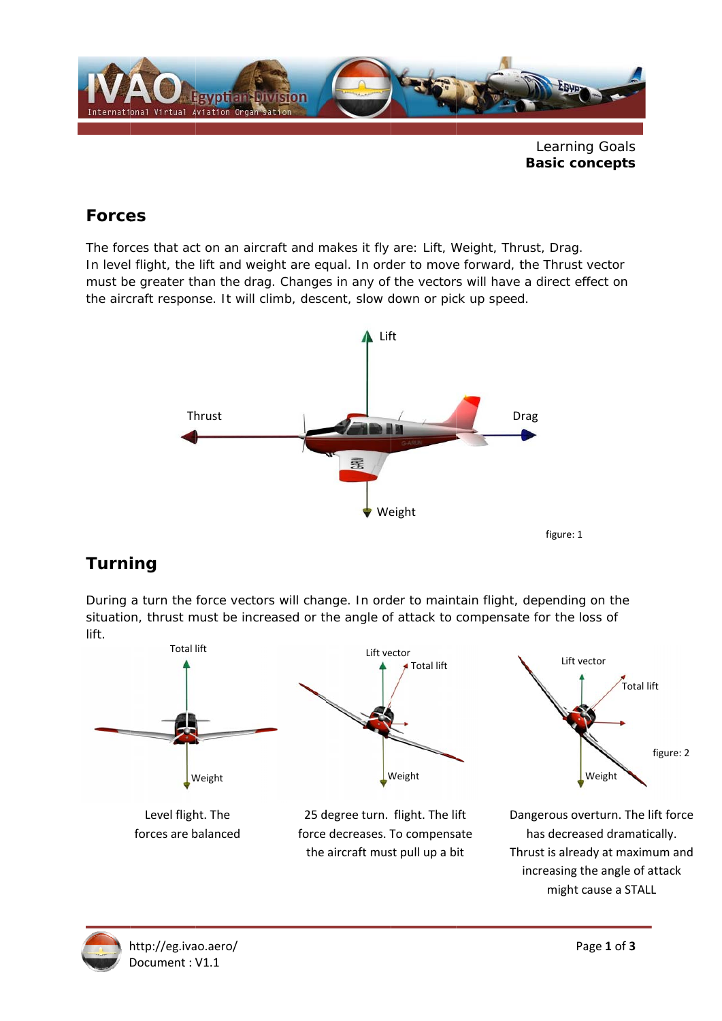

## $Forces$

The forces that act on an aircraft and makes it fly are: Lift, Weight, Thrust, Drag. In level flight, the lift and weight are equal. In order to move forward, the Thrust vector must be greater than the drag. Changes in any of the vectors will have a direct effect on the aircraft response. It will climb, descent, slow down or pick up speed.



# *Turni ing*

During a turn the force vectors will change. In order to maintain flight, depending on the situation, thrust must be increased or the angle of attack to compensate for the loss of lift.



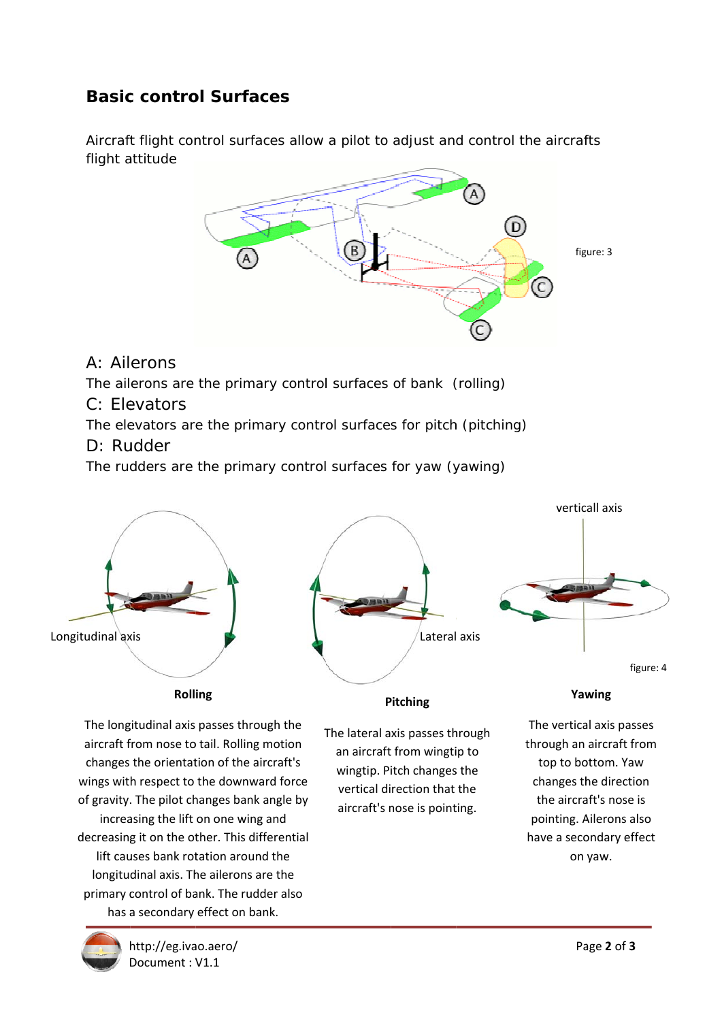# **Basic control Surfaces**

Aircraft flight control surfaces allow a pilot to adjust and control the aircrafts flight a attitude



## A: Ail erons

The ailerons are the primary control surfaces of bank (rolling)

### C: Elevators

The elevators are the primary control surfaces for pitch (pitching)

### D: Rudder

The rudders are the primary control surfaces for yaw (yawing)